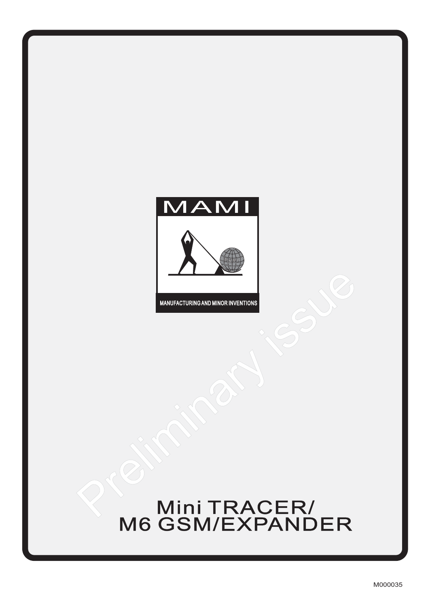



MANUFACTURING AND MINOR INVENTIONS

# Mini TRACER/ M6 GSM/EXPANDER PRELIGION NATIONAL PRESS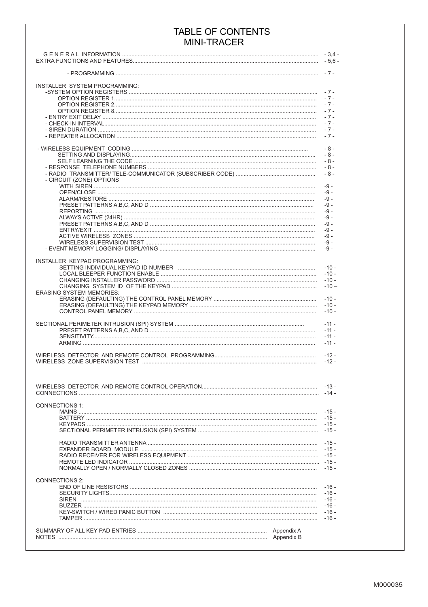#### TABLE OF CONTENTS MINI-TRACER

İ

|                                                                         | $-3,4$<br>$-5,6$                                                                                                                                     |
|-------------------------------------------------------------------------|------------------------------------------------------------------------------------------------------------------------------------------------------|
|                                                                         | $-7-$                                                                                                                                                |
| <b>INSTALLER SYSTEM PROGRAMMING:</b>                                    | $-7-$<br>$-7-$<br>$-7-$<br>$-7-$<br>$-7 -$<br>$-7-$<br>$-7 -$<br>$-7-$                                                                               |
| - CIRCUIT (ZONE) OPTIONS                                                | $-8-$<br>$-8-$<br>$-8-$<br>$-8-$<br>$-8-$<br>$-9 -$<br>$-9-$<br>$-9 -$<br>$-9 -$<br>$-9-$<br>$-9-$<br>$-9 -$<br>$-9 -$<br>$-9 -$<br>$-9 -$<br>$-9 -$ |
| <b>INSTALLER KEYPAD PROGRAMMING:</b><br><b>ERASING SYSTEM MEMORIES:</b> | $-10 -$<br>$-10 -$<br>$-10 -$<br>$-10 -$<br>$-10 -$<br>$-10 -$<br>$-10 -$                                                                            |
|                                                                         | $-11 -$<br>$-11 -$<br>$-11 -$<br>$-11 -$                                                                                                             |
|                                                                         | $-12 -$<br>$-12 -$                                                                                                                                   |
|                                                                         | $-13-$<br>$-14-$                                                                                                                                     |
| <b>CONNECTIONS 1:</b>                                                   | $-15 -$<br>$-15 -$<br>$-15 -$<br>$-15 -$<br>$-15 -$<br>$-15 -$<br>$-15 -$                                                                            |
| <b>CONNECTIONS 2:</b>                                                   | $-16 -$<br>$-16 -$<br>$-16 -$<br>$-16 -$<br>$-16 -$<br>$-16 -$                                                                                       |
|                                                                         |                                                                                                                                                      |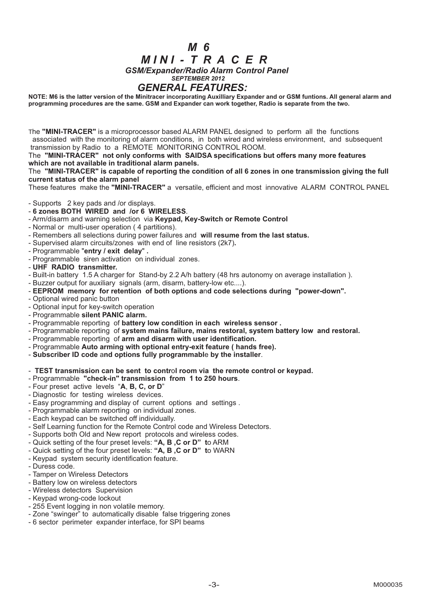#### *M 6 M I N I - T R A C E R*  *GSM/Expander/Radio Alarm Control Panel SEPTEMBER 2012 GENERAL FEATURES:*

**NOTE: M6 is the latter version of the Minitracer incorporating Auxilliary Expander and or GSM funtions. All general alarm and programming procedures are the same. GSM and Expander can work together, Radio is separate from the two.**

The **"MINI-TRACER"** is a microprocessor based ALARM PANEL designed to perform all the functions associated with the monitoring of alarm conditions, in both wired and wireless environment, and subsequent transmission by Radio to a REMOTE MONITORING CONTROL ROOM.

#### The **"MINI-TRACER" not only conforms with SAIDSA specifications but offers many more features which are not available in traditional alarm panels.**

#### The **"MINI-TRACER" is capable of reporting the condition of all 6 zones in one transmission giving the full current status of the alarm panel**

These features make the **"MINI-TRACER"** a versatile, efficient and most innovative ALARM CONTROL PANEL

- Supports 2 key pads and /or displays.
- - **6 zones BOTH WIRED and /or 6 WIRELESS**.
- Arm/disarm and warning selection via **Keypad, Key-Switch or Remote Control**
- Normal or multi-user operation (4 partitions).
- Remembers all selections during power failures and **will resume from the last status.**
- Supervised alarm circuits/zones with end of line resistors (2k7)**.**
- Programmable "**entry / exit delay**" **.**
- Programmable siren activation on individual zones.
- **UHF RADIO transmitter.**
- Built-in battery 1.5 A charger for Stand-by 2.2 A/h battery (48 hrs autonomy on average installation ).
- Buzzer output for auxiliary signals (arm, disarm, battery-low etc....).
- **EEPROM memory for retention of both options a**n**d code selections during "power-down".**
- Optional wired panic button
- Optional input for key-switch operation
- Programmable **silent PANIC alarm.**
- Programmable reporting of **battery low condition in each wireless sensor .**
- Programmable reporting of **system mains failure, mains restoral, system battery low and restoral.**
- Programmable reporting of **arm and disarm with user identification.**
- Programmable **Auto arming with optional entry-exit feature ( hands free).**
- **Subscriber ID code** a**nd options fully programmabl**e **by the installer**.
- **TEST transmission can be sent to contr**o**l room via the remote control or keypad.**
- Programmable **"check-in" transmission from 1 to 250 hours**.
- Four preset active levels "**A**, **B, C, or D**"
- Diagnostic for testing wireless devices.
- Easy programming and display of current options and settings .
- Programmable alarm reporting on individual zones.
- Each keypad can be switched off individually.
- Self Learning function for the Remote Control code and Wireless Detectors.
- Supports both Old and New report protocols and wireless codes.
- Quick setting of the four preset levels: **"A, B ,C or D" t**o ARM
- Quick setting of the four preset levels: **"A, B ,C or D" t**o WARN
- Keypad system security identification feature.
- Duress code.
- Tamper on Wireless Detectors
- Battery low on wireless detectors
- Wireless detectors Supervision
- Keypad wrong-code lockout
- 255 Event logging in non volatile memory.
- Zone "swinger" to automatically disable false triggering zones
- 6 sector perimeter expander interface, for SPI beams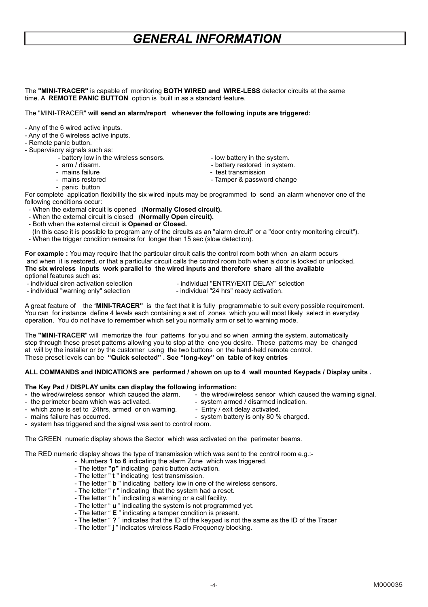## *GENERAL INFORMATION*

The **"MINI-TRACER"** is capable of monitoring **BOTH WIRED and WIRE-LESS** detector circuits at the same time. A **REMOTE PANIC BUTTON** option is built in as a standard feature.

#### The "MINI-TRACER" **will send an alarm/report whe**n**ever the following inputs are triggered:**

- Any of the 6 wired active inputs.

- Any of the 6 wireless active inputs.

- Remote panic button.
- Supervisory signals such as:
	- battery low in the wireless sensors.<br>- arm / disarm.<br>- hattery restored in system
	-
	-
- 
- arm / disarm.<br>- mains failure and the system of the system of the system of the system of the system of the system of the system of the system of the system of the system of the system of the system of the system of the
- mains failure test transmission<br>- mains restored test transmission<br>- Tamper & passwo
	- Tamper & password change

- panic button

For complete application flexibility the six wired inputs may be programmed to send an alarm whenever one of the following conditions occur:

- When the external circuit is opened (**Normally Closed circuit).**
- When the external circuit is closed (**Normally Open circuit).**
- Both when the external circuit is **Opened or Closed.**
- (In this case it is possible to program any of the circuits as an "alarm circuit" or a "door entry monitoring circuit").
- When the trigger condition remains for longer than 15 sec (slow detection).

**For example :** You may require that the particular circuit calls the control room both when an alarm occurs and when it is restored, or that a particular circuit calls the control room both when a door is locked or unlocked. **The six wireless inputs work parallel to the wired inputs and therefore share all the available**  optional features such as:<br>- individual siren activation selection

- individual siren activation selection individual "ENTRY/EXIT DELAY" selection<br>- individual "warning only" selection individual "24 hrs" ready activation.
	- individual "24 hrs" ready activation.

A great feature of the **'MINI-TRACER"** is the fact that it is fully programmable to suit every possible requirement. You can for instance define 4 levels each containing a set of zones which you will most likely select in everyday operation. You do not have to remember which set you normally arm or set to warning mode.

The **"MINI-TRACER**" will memorize the four patterns for you and so when arming the system, automatically step through these preset patterns allowing you to stop at the one you desire. These patterns may be changed at will by the installer or by the customer using the two buttons on the hand-held remote control. These preset levels can be **"Quick selected" . See "long-key" on table of key entries**

#### **ALL COMMANDS and INDICATIONS are performed / shown on up to 4 wall mounted Keypads / Display units .**

## **The Key Pad / DISPLAY units can display the following information:**

- 
- 
- which zone is set to 24hrs, armed or on warning.<br>- mains failure has occurred.
	- system battery is only 80 % charged.
- 
- system has triggered and the signal was sent to control room.

The GREEN numeric display shows the Sector which was activated on the perimeter beams.

The RED numeric display shows the type of transmission which was sent to the control room e.g.:-

- Numbers **1 to 6** indicating the alarm Zone which was triggered.
	- The letter **"p"** indicating panic button activation.
	- The letter " **t** " indicating test transmission.
	- The letter " **b** " indicating battery low in one of the wireless sensors.
	- The letter " **r** " indicating that the system had a reset.
	-
- The letter " **h** " indicating a warning or a call facility. The letter " **u** " indicating the system is not programmed yet.
	- The letter " **E** " indicating a tamper condition is present.
	- The letter " **?** " indicates that the ID of the keypad is not the same as the ID of the Tracer
	- The letter " **j** " indicates wireless Radio Frequency blocking.
- the wired/wireless sensor which caused the warning signal.<br>- system armed / disarmed indication. - the perimeter beam which was activated.<br>- which zone is set to 24hrs, armed or on warning. - Entry / exit delay activated.
	-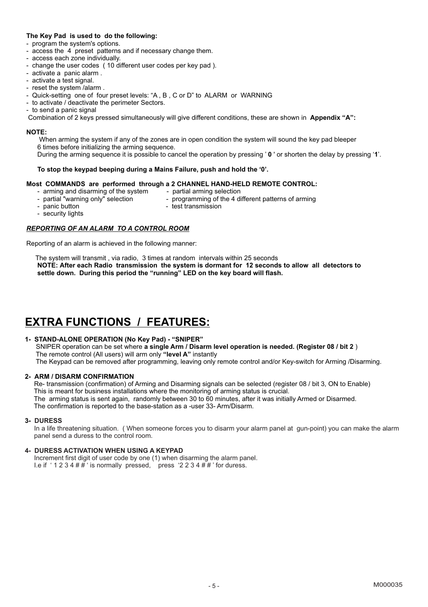#### **The Key Pad is used to do the following:**

- program the system's options.
- access the 4 preset patterns and if necessary change them.
- access each zone individually.
- change the user codes ( 10 different user codes per key pad ).
- activate a panic alarm .
- activate a test signal.
- reset the system /alarm .

- Quick-setting one of four preset levels: "A , B , C or D" to ALARM or WARNING

- to activate / deactivate the perimeter Sectors.
- to send a panic signal

Combination of 2 keys pressed simultaneously will give different conditions, these are shown in **Appendix "A":**

#### **NOTE:**

When arming the system if any of the zones are in open condition the system will sound the key pad bleeper 6 times before initializing the arming sequence.

During the arming sequence it is possible to cancel the operation by pressing ' **0** ' or shorten the delay by pressing '**1**'.

#### **To stop the keypad beeping during a Mains Failure, push and hold the '0'.**

## **Most COMMANDS are performed through a 2 CHANNEL HAND-HELD REMOTE CONTROL:**

- 
- 
- arming and disarming of the system<br>- partial "warning only" selection - partial "warning only" selection - programming of the 4 different patterns of arming<br>- programmission - the transmission
	- test transmission
- security lights
- 

#### *REPORTING OF AN ALARM TO A CONTROL ROOM*

Reporting of an alarm is achieved in the following manner:

 The system will transmit , via radio, 3 times at random intervals within 25 seconds **NOTE: After each Radio transmission the system is dormant for 12 seconds to allow all detectors to settle down. During this period the "running" LED on the key board will flash.** 

## **EXTRA FUNCTIONS / FEATURES:**

#### **1- STAND-ALONE OPERATION (No Key Pad) - "SNIPER"**

 SNIPER operation can be set where **a single Arm / Disarm level operation is needed. (Register 08 / bit 2** ) The remote control (All users) will arm only **"level A"** instantly The Keypad can be removed after programming, leaving only remote control and/or Key-switch for Arming /Disarming.

#### **2- ARM / DISARM CONFIRMATION**

 Re- transmission (confirmation) of Arming and Disarming signals can be selected (register 08 / bit 3, ON to Enable) This is meant for business installations where the monitoring of arming status is crucial. The arming status is sent again, randomly between 30 to 60 minutes, after it was initially Armed or Disarmed. The confirmation is reported to the base-station as a -user 33- Arm/Disarm.

#### **3- DURESS**

 In a life threatening situation. ( When someone forces you to disarm your alarm panel at gun-point) you can make the alarm panel send a duress to the control room.

#### **4- DURESS ACTIVATION WHEN USING A KEYPAD**

 Increment first digit of user code by one (1) when disarming the alarm panel. Le if  $1234 # #$  is normally pressed, press  $2234 # #$  for duress.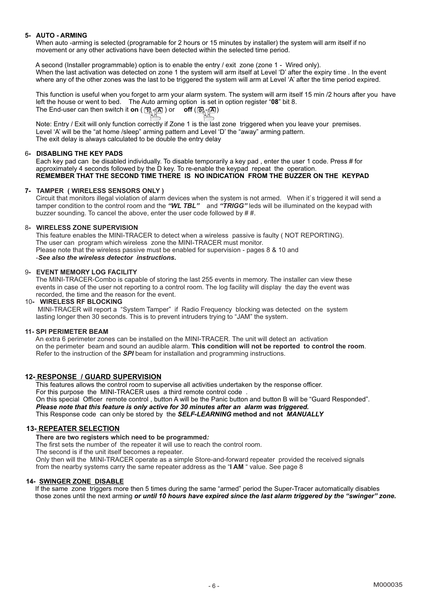#### **5- AUTO - ARMING**

When auto -arming is selected (programable for 2 hours or 15 minutes by installer) the system will arm itself if no movement or any other activations have been detected within the selected time period.

 A second (Installer programmable) option is to enable the entry / exit zone (zone 1 - Wired only). When the last activation was detected on zone 1 the system will arm itself at Level 'D' after the expiry time . In the event where any of the other zones was the last to be triggered the system will arm at Level 'A' after the time period expired.

 This function is useful when you forget to arm your alarm system. The system will arm itself 15 min /2 hours after you have left the house or went to bed. The Auto arming option is set in option register "**08**" bit 8. The End-user can then switch it **on**  $(\mathbb{R} \setminus \mathbb{R})$  or  $\bullet$  off  $(\overline{\mathbb{Q}}_n^* \mathbb{A})$ 

 Note: Entry / Exit will only function correctly if Zone 1 is the last zone triggered when you leave your premises. Level 'A' will be the "at home /sleep" arming pattern and Level 'D' the "away" arming pattern. The exit delay is always calculated to be double the entry delay

#### 6**- DISABLING THE KEY PADS**

 Each key pad can be disabled individually. To disable temporarily a key pad , enter the user 1 code. Press # for approximately 4 seconds followed by the D key. To re-enable the keypad repeat the operation. **REMEMBER THAT THE SECOND TIME THERE IS NO INDICATION FROM THE BUZZER ON THE KEYPAD** 

#### **7- TAMPER ( WIRELESS SENSORS ONLY )**

Circuit that monitors illegal violation of alarm devices when the system is not armed. When it's triggered it will send a tamper condition to the control room and the *"WL TBL"* and *"TRIGG"* leds will be illuminated on the keypad with buzzer sounding. To cancel the above, enter the user code followed by # #.

#### 8**- WIRELESS ZONE SUPERVISION**

This feature enables the MINI-TRACER to detect when a wireless passive is faulty ( NOT REPORTING). The user can program which wireless zone the MINI-TRACER must monitor. Please note that the wireless passive must be enabled for supervision - pages 8 & 10 and -*See also the wireless detector instructions.*

#### 9**- EVENT MEMORY LOG FACILITY**

 The MINI-TRACER-Combo is capable of storing the last 255 events in memory. The installer can view these events in case of the user not reporting to a control room. The log facility will display the day the event was recorded, the time and the reason for the event.

#### 10**- WIRELESS RF BLOCKING**

 MINI-TRACER will report a "System Tamper" if Radio Frequency blocking was detected on the system lasting longer then 30 seconds. This is to prevent intruders trying to "JAM" the system.

#### **11- SPI PERIMETER BEAM**

 An extra 6 perimeter zones can be installed on the MINI-TRACER. The unit will detect an activation on the perimeter beam and sound an audible alarm. **This condition will not be reported to control the room**. Refer to the instruction of the *SPI* beam for installation and programming instructions.

## **12- RESPONSE / GUARD SUPERVISION**

 This features allows the control room to supervise all activities undertaken by the response officer. For this purpose the MINI-TRACER uses a third remote control code.

On this special Officer remote control , button A will be the Panic button and button B will be "Guard Responded".

*Please note that this feature is only active for 30 minutes after an alarm was triggered.*

This Response code can only be stored by the *SELF-LEARNING* **method and not** *MANUALLY*

#### **13- REPEATER SELECTION**

**There are two registers which need to be programmed***:*

The first sets the number of the repeater it will use to reach the control room.

The second is if the unit itself becomes a repeater.

Only then will the MINI-TRACER operate as a simple Store-and-forward repeater provided the received signals from the nearby systems carry the same repeater address as the "**I AM** " value. See page 8

#### **14- SWINGER ZONE DISABLE**

 If the same zone triggers more then 5 times during the same "armed" period the Super-Tracer automatically disables those zones until the next arming *or until 10 hours have expired since the last alarm triggered by the "swinger" zone.*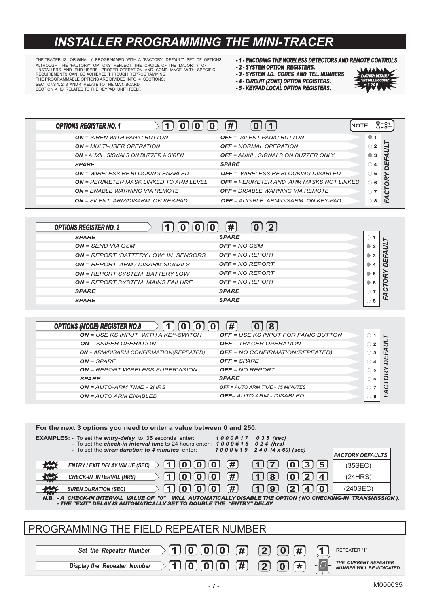## *INSTALLER PROGRAMMING THE MINI-TRACER*

ALTHOUGH THE "FACTORY" OPTIONS REFLECT THE CHOICE OF THE MAJORITY OF INSTALLERS AND END-USERS, PROPER OPERATION AND COMPLIANCE WITH SPECIFIC REQUIREMENTS CAN BE ACHIEVED THROUGH REPROGRAMMING. THE PROGRAMMABLE OPTIONS ARE DIVIDED INTO 4 SECTIONS: THE TRACER IS ORIGINALLY PROGRAMMED WITH A "FACTORY DEFAULT" SET OF OPTIONS.

SECTIONS 1, 2, 3 AND 4 RELATE TO THE MAIN BOARD:<br>SECTION 4 IS RELATES TO THE KEYPAD UNIT ITSELF. **Section and the section of the section of the section of the set o** 

## *- 1 - ENCODING THE WIRELESS DETECTORS AND REMOTE CONTROLS*

 $\overline{\phantom{a}}$ *FACTORY DEFAULT "INSTALLER CODE" = 1 0 0 0* 

*- 2 - SYSTEM OPTION REGISTERS. - 3 - SYSTEM I.D. CODES AND TEL. NUMBERS - 4 - CIRCUIT (ZONE) OPTION REGISTERS.*

| <b>OPTIONS REGISTER NO. 1</b>                  | #                                               |           |
|------------------------------------------------|-------------------------------------------------|-----------|
| <b>ON</b> = SIREN WITH PANIC BUTTON            | <b>OFF</b> = SILENT PANIC BUTTON                | O         |
| $ON = MILITLLISFR$ OPERATION                   | <b>OFF</b> = NORMAL OPERATION                   | ∩ 2       |
| $ON = AUXIL$ . SIGNALS ON BUZZER & SIREN       | $OFF = AUXIL$ . SIGNALS ON BUZZER ONLY          | ۱З<br>О   |
| <b>SPARE</b>                                   | <b>SPARE</b>                                    | $\circ$ 4 |
| $ON = WIREI FSS RFAI OCKING FNABLFD$           | <b>OFF</b> = WIRELESS RE BLOCKING DISABLED      | $\circ$ 5 |
| <b>ON</b> = PERIMETER MASK LINKED TO ARM LEVEL | <b>OFF</b> = PERIMETER AND ARM MASKS NOT LINKED | $\circ$ 6 |
| <b>ON</b> = FNABLE WARNING VIA REMOTE          | <b>OFF</b> = DISABLE WARNING VIA REMOTE         |           |
| $ON = SIL$ FNT ARM/DISARM ON KEY-PAD           | <b>OFF</b> = AUDIBLE ARM/DISARM ON KEY-PAD      |           |

| <b>OPTIONS REGISTER NO. 2</b>               | $0$   2 <br>#                              |              |                  |
|---------------------------------------------|--------------------------------------------|--------------|------------------|
| <b>SPARE</b>                                | <b>SPARE</b>                               | $\circ$ 1    |                  |
| <b>ON</b> = SEND VIA GSM                    | $OFF = NO$ GSM                             | $\circ$ 2    |                  |
| <b>ON</b> = REPORT "BATTERY LOW" IN SENSORS | $OFF = NO REPORT$                          | ⊚ 3          | DEFAUL           |
| <b>ON</b> = REPORT ARM / DISARM SIGNALS     | $OFF = NO REPORT$                          | $^{\circ}$ 4 |                  |
| <b>ON</b> = REPORT SYSTEM BATTERY LOW       | $OFF = NO REPORT$                          | ⊙ 5          |                  |
| <b>ON</b> = REPORT SYSTEM MAINS FAILURE     | <b>OFF</b> = NO REPORT                     | <b>06</b>    | <b>CTORY</b>     |
| <b>SPARE</b>                                | <b>SPARE</b>                               | $\Omega$ 7   |                  |
| <b>SPARE</b>                                | <b>SPARE</b>                               | $\circ$ 8    | 준                |
|                                             |                                            |              |                  |
| <b>OPTIONS (MODE) REGISTER NO.8</b><br>0    | #<br>8                                     |              |                  |
| $ON = IJSF KS INPUT WITH A KFY-SWITCH$      | <b>OFF</b> = USE KS INPUT FOR PANIC BUTTON | $\circ$ 1    | ⊢                |
| <b>ON</b> = SNIPER OPERATION                | <b>OFF</b> = TRACER OPERATION              | $\circ$ 2    | <b>DEFAUL</b>    |
| ON = ARM/DISARM CONFIRMATION(REPEATED)      | <b>OFF</b> = NO CONFIRMATION(REPEATED)     | $\circ$ 3    |                  |
| $ON = SPARE$                                | $OFF = SPARE$                              | $\Omega$ 4   |                  |
| <b>ON</b> = REPORT WIRELESS SUPERVISION     | $OFF = NO$ REPORT                          | ○ 5          |                  |
| <b>SPARE</b>                                | <b>SPARE</b>                               | $\circ$ 6    | <b>TORY</b>      |
| $ON = AUITO-ARM TIME - 2HRS$                | OFF = AUTO ARM TIME - 15 MINUTES           | $\circ$ 7    | FAC <sup>T</sup> |
| <b>ON</b> = AUTO ARM ENABLED                | <b>OFF</b> = AUTO ARM - DISABLED           | $\Omega$     |                  |

## *OPTIONS (MODE) REGISTER NO.8* **1 0 0 0 # 0 8**

| <b>ON</b> = USE KS INPUT WITH A KEY-SWITCH    | <b>OFF</b> = USE KS INPUT FOR PANIC BUTTON |              |  |
|-----------------------------------------------|--------------------------------------------|--------------|--|
| <b>ON</b> = SNIPER OPERATION                  | <b>OFF</b> = TRACER OPERATION              | ∩ 2          |  |
| <b>ON</b> = ARM/DISARM CONFIRMATION(REPEATED) | <b>OFF</b> = NO CONFIRMATION(REPEATED)     | $\bigcirc$ 3 |  |
| $ON = SPARE$                                  | $OFF = SPARE$                              |              |  |
| <b>ON</b> = REPORT WIRELESS SUPERVISION       | $OFF = NO$ RFPORT                          | ○ 5          |  |
| <b>SPARE</b>                                  | <b>SPARE</b>                               | $\circ$ 6    |  |
| $ON = AUITO-ARM TIME - 2HRS$                  | OFF = AUTO ARM TIME - 15 MINUTES           |              |  |
| <b>ON</b> = AUTO ARM ENABLED                  | <b>OFF</b> = AUTO ARM - DISABLED           | 8            |  |
|                                               |                                            |              |  |

**For the next 3 options you need to enter a value between 0 and 250.**

EXAMPLES: - To set the entry-delay to 35 seconds enter: 1000#17 035 (sec)<br>Foset the check-in interval time to 24 hours enter:: 1000#18 024 (hrs)<br>To set the siren duration to 4 minutes enter: 1000#19 240 (4x60) (sec) -



*N.B. - A CHECK-IN INTERVAL VALUE OF "0" WILL AUTOMATICALLY DISABLE THE OPTION ( NO CHECKING-IN TRANSMISSION ). - THE "EXIT" DELAY IS AUTOMATICALLY SET TO DOUBLE THE "ENTRY" DELAY*

| I PROGRAMMING THE FIELD REPEATER NUMBER                                                                                                                                                 |  |                                                                          |  |
|-----------------------------------------------------------------------------------------------------------------------------------------------------------------------------------------|--|--------------------------------------------------------------------------|--|
| $>10000$ (F) (20 H)<br>Set the Repeater Number<br>$\boxed{1}$ $\boxed{0}$ $\boxed{0}$ $\boxed{0}$ $\boxed{#}$ $\boxed{2}$ $\boxed{0}$ $\boxed{*}$<br><b>Display the Repeater Number</b> |  | REPEATER "1"<br>THE CURRENT REPEATER<br><b>NUMBER WILL BE INDICATED.</b> |  |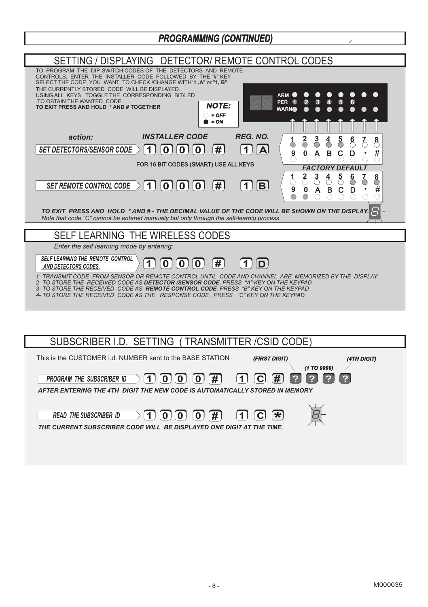## **PROGRAMMING (CONTINUED)**

 $\lambda$ 

| SETTING / DISPLAYING<br>DETECTOR/ REMOTE CONTROL CODES                                                                                                                                                                                                                                                                                                                                                                                             |
|----------------------------------------------------------------------------------------------------------------------------------------------------------------------------------------------------------------------------------------------------------------------------------------------------------------------------------------------------------------------------------------------------------------------------------------------------|
| TO PROGRAM THE DIP-SWITCH CODES OF THE DETECTORS AND REMOTE<br>CONTROLS. ENTER THE INSTALLER CODE FOLLOWED BY THE "#" KEY.<br>SELECT THE CODE YOU WANT TO CHECK /CHANGE WITH"1 A" or "1. B"<br>THE CURRENTLY STORED CODE WILL BE DISPLAYED.<br>USING ALL KEYS TOGGLE THE CORRESPONDING BIT/LED<br><b>ARM</b><br>TO OBTAIN THE WANTED CODE.<br>PFR<br><b>NOTE:</b><br>TO EXIT PRESS AND HOLD * AND # TOGETHER<br><b>WARN</b><br>$=$ OFF<br>$= ON$   |
| <b>INSTALLER CODE</b><br><b>REG. NO.</b><br>action:                                                                                                                                                                                                                                                                                                                                                                                                |
| 3<br>$\frac{2}{\circ}$<br>8<br>గ్గి<br>8<br>Þ<br><b>SET DETECTORS/SENSOR CODE</b><br>#<br>O<br>A                                                                                                                                                                                                                                                                                                                                                   |
| $\frac{\#}{\circlearrowright}$<br>$\frac{9}{2}$<br>R                                                                                                                                                                                                                                                                                                                                                                                               |
| FOR 16 BIT CODES (SMART) USE ALL KEYS<br>FA<br>CTORY<br><b>DEFAULT</b>                                                                                                                                                                                                                                                                                                                                                                             |
| $\approx$<br>$\frac{2}{\circ}$<br>్<br>රී<br>#<br><b>SET REMOTE CONTROL CODE</b><br>B<br>0<br>0<br>1<br>0<br>#<br>0<br>в<br>9<br>с<br>D<br>TO EXIT PRESS AND HOLD * AND # - THE DECIMAL VALUE OF THE CODE WILL BE SHOWN ON THE DISPLAY.<br>Note that code "C" cannot be entered manually but only through the self-learnig process                                                                                                                 |
| SELF LEARNING THE WIRELESS CODES                                                                                                                                                                                                                                                                                                                                                                                                                   |
| Enter the self learning mode by entering:                                                                                                                                                                                                                                                                                                                                                                                                          |
| <b>SELF LEARNING THE REMOTE CONTROL</b><br>#<br>AND DETECTORS CODES.<br>1- TRANSMIT CODE FROM SENSOR OR REMOTE CONTROL UNTIL CODE AND CHANNEL ARE MEMORIZED BY THE DISPLAY<br>2- TO STORE THE RECEIVED CODE AS DETECTOR /SENSOR CODE, PRESS "A" KEY ON THE KEYPAD<br>3- TO STORE THE RECEIVED CODE AS <b>REMOTE CONTROL CODE</b> . PRESS "B" KEY ON THE KEYPAD<br>4- TO STORE THE RECEIVED CODE AS THE RESPONSE CODE . PRESS "C" KEY ON THE KEYPAD |

| SUBSCRIBER I.D. SETTING (TRANSMITTER /CSID CODE)                                                                                                                                                                               |             |
|--------------------------------------------------------------------------------------------------------------------------------------------------------------------------------------------------------------------------------|-------------|
| This is the CUSTOMER <i>i.d.</i> NUMBER sent to the BASE STATION<br>(FIRST DIGIT)<br>(1 TO 9999)                                                                                                                               | (4TH DIGIT) |
| $\left( \bf{\#}\right)$<br>$\lceil 7 \rceil$<br>$\mathbf{C}$<br>$\ket{1}$<br> 2 <br>$[0]$ $[0]$ $[0]$ $[1]$<br><b>PROGRAM THE SUBSCRIBER ID</b><br>AFTER ENTERING THE 4TH DIGIT THE NEW CODE IS AUTOMATICALLY STORED IN MEMORY | 2           |
|                                                                                                                                                                                                                                |             |
| $\left  \mathbf{r} \right $<br>$\boxed{0}$ (#)<br>$\P$ 1).<br>$ {\bf C} $<br><b>READ THE SUBSCRIBER ID</b><br>$0 \mid 0 \mid$<br>THE CURRENT SUBSCRIBER CODE WILL BE DISPLAYED ONE DIGIT AT THE TIME.                          |             |
|                                                                                                                                                                                                                                |             |
|                                                                                                                                                                                                                                |             |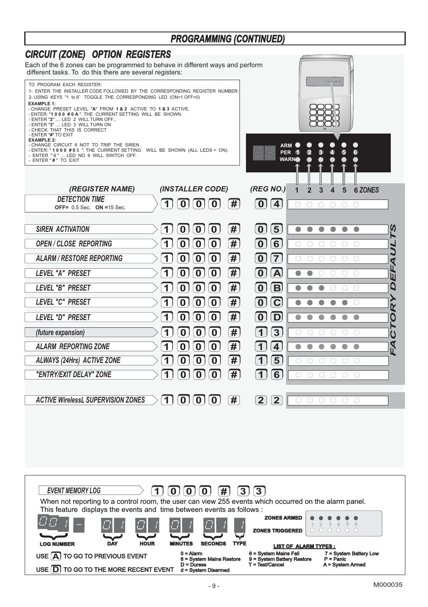## *PROGRAMMING (CONTINUED)*

#### *CIRCUIT (ZONE) OPTION REGISTERS* Each of the 6 zones can be programmed to behave in different ways and perform different tasks. To do this there are several registers: TO PROGRAM EACH REGISTER: 1- ENTER THE INSTALLER CODE FOLLOWED BY THE CORRESPONDING REGISTER NUMBER: 2- USING KEYS "1 to 6" TOGGLE THE CORRESPONDING LED (ON=1 OFF=0) **EXAMPLE 1:** - CHANGE PRESET LEVEL "**A**" FROM **1 & 2** ACTIVE TO **1 & 3** ACTIVE. - ENTER: "**1 0 0 0 # 0 A** ". THE CURRENT SETTING WILL BE SHOWN. - ENTER "**2**" .... LED 2 WILL TURN OFF... - ENTER "**3**" .... LED 3 WILL TURN ON - CHECK 3 .... LED 3 WILL TONN C - ENTER "**#**" TO EXIT EXAMPLE 2:<br>- CHANGE CIRCUIT 6 NOT TO TRIP THE SIREN .<br>- ENTER: "1000 #05 ". THE CURRENT SETTING WILL BE SHOWN (ALL LEDS = ON).<br>- ENTER "#" TO EXIT<br>- ENTER "#" TO EXIT **ARM** г г г r r FI **PER 1 2 3 4 5 6 WARN** *(REGISTER NAME) (INSTALLER CODE) (REG NO.)* **1** *ZONES* **2 3 4 5 6** *DETECTION TIME* **# 1 0 0 0 0 4**  $\bigcirc$  $\bigcirc$  $\bigcirc$  $\bigcirc$  $\bigcirc$  $\bigcirc$ **OFF=** 0.5 Sec. **ON =**15 Sec. **0 0 #** *Y DEFAULTS SIREN ACTIVATION* **1 0 0 5**  $\overline{\bullet}$  $\bigcirc$  $\overline{\bullet}$  $\overline{\bullet}$  $\overline{\bullet}$  $\overline{\bullet}$ Ñ **# 0 6** *OPEN / CLOSE REPORTING* **1 0 0 0**  $\overline{\bigcirc}$ JU  $\circ$  $\circ$  $\circ$  $\circ$  $\circ$ *ALARM / RESTORE REPORTING* **1 0 0 # 0 7 0**  $\circ$  $\circ$  $\circ$  $\circ$  $\circ$  $\circ$ Ŕ *LEVEL "A" PRESET* **1 0 0 0 # 0 A**  $\overline{\bullet}$  $\overline{\phantom{a}}$  $\overline{\circ}$  $\overline{\circ}$  $\overline{\circ}$  $\overline{\cap}$ ūī Q *LEVEL "B" PRESET* **1 # 0 B 0 0 0**  $\bigcirc$  $\bigcirc$  $\bullet$  $\bigcap$  $\bigcap$  $\overline{\Omega}$ *FACTOR LEVEL "C" PRESET* **1 0 0 0 # 0 C**  $\bigcap$  $\bigcirc$  $\bigcirc$  $\bigcirc$  $\bigcap$  $\bigcirc$ **#** *LEVEL "D" PRESET* **1 0 0 0 0 D**  $\bigcirc$  $\bigcirc$  $\bigcirc$  $\bigcirc$  $\bigcirc$  $\bigcirc$ **# 1** *(future expansion)* **1 0 0 0 3** ਨ  $\overline{\circ}$  $\overline{\circ}$ ਨ  $\bigcap$ ਨ *ALARM REPORTING ZONE* **# 1 0 0 1 4**  $\overline{\bigcirc}$  $\overline{\bullet}$  $\overline{\bigcirc}$  $\overline{\phantom{a}}$  $\overline{\phantom{0}}$  $\overline{\bigcirc}$ **0 #** *ALWAYS (24Hrs) ACTIVE ZONE* **1 0 0 0 1 5**  $\overline{\circ}$  $\overline{\bigcirc}$  $\overline{\bigcirc}$  $\overline{\bigcirc}$  $\overline{\circ}$  $\overline{\circ}$ *"ENTRY/EXIT DELAY" ZONE* **1 0 0 0 # 1 6**  $\overline{\Omega}$  $\overline{\Omega}$  $\overline{\Omega}$  $\overline{\Omega}$  $\overline{\circ}$  $\overline{\bigcap}$ *ACTIVE WirelessL SUPERVISION ZONES* **1 # 0 0 0 2 2**  $\bigcirc$  $00000$ *EVENT MEMORY LOG* **1 0 0 0 3 # 3** When not reporting to a control room, the user can view 255 events which occurred on the alarm panel. This feature displays the events and time between events as follows : *MAKE YOUR SELECTION .* **ZONES ARMED**  $\bullet$  $\bullet$  $\bullet$   $\bullet$  $\bullet$   $\bullet$ *ENTER "#" TO EXIT* **ZONES TRIGGERED 1 2 3 4 5 6**  $\overline{\phantom{a}}$ بييا  $\overline{\phantom{a}}$ 52 <u>يې</u>  $\overline{\phantom{a}}$

**LOG NUMBER DAY HOUR MINUTES SECONDS TYPE LIST OF ALARM TYPES :**

0 = Alarm 6 = System Mains Fail 7 = System Battery Low<br>8 = System Mains Restore 9 = System Battery Restore P = Panic<br>D = Duress 7 = Test/Cancel A = System Armed A = System Armed

em Mains Restore 9 = System Battery Restore 9 = System Battery Restore P = Past/Cancel

d = System Disarmed

USE **A** TO GO TO PREVIOUS EVENT USE **D** TO GO TO THE MORE RECENT EVENT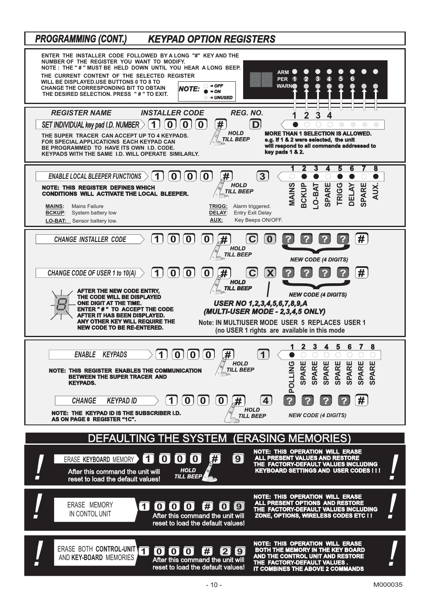| <b>KEYPAD OPTION REGISTERS</b><br><b>PROGRAMMING (CONT.)</b>                                                                                                                                                                                                                                                                                                                                                                                                                                                                                                                                                   |
|----------------------------------------------------------------------------------------------------------------------------------------------------------------------------------------------------------------------------------------------------------------------------------------------------------------------------------------------------------------------------------------------------------------------------------------------------------------------------------------------------------------------------------------------------------------------------------------------------------------|
| ENTER THE INSTALLER CODE FOLLOWED BY A LONG "#" KEY AND THE<br>NUMBER OF THE REGISTER YOU WANT TO MODIFY.<br>NOTE: THE "# " MUST BE HELD DOWN UNTIL YOU HEAR A LONG BEEP.<br>ARM<br>THE CURRENT CONTENT OF THE SELECTED REGISTER<br>5<br>6<br>PER.<br>и<br>2<br>а<br>WILL BE DISPLAYED.USE BUTTONS 0 TO 8 TO<br><b>WARNO</b><br>$\bigcirc$ = OFF<br>CHANGE THE CORRESPONDING BIT TO OBTAIN<br>NOTE:<br>$= ON$<br>THE DESIRED SELECTION. PRESS "#" TO EXIT.<br>= UNUSED                                                                                                                                         |
| <b>REGISTER NAME</b><br><b>INSTALLER CODE</b><br>REG. NO.<br>2<br>3<br>4<br>1<br>$\overline{0}$<br>O I<br>D<br>SET INDIVIDUAL key pad I.D. NUMBER<br>#<br>$\bf{0}$<br>Ω<br>∩<br>∩<br><b>HOLD</b><br><b>MORE THAN 1 SELECTION IS ALLOWED.</b><br>THE SUPER TRACER CAN ACCEPT UP TO 4 KEYPADS.<br><b>TILL BEEP</b><br>e.g. if 1 & 2 were selected, the unit<br>FOR SPECIAL APPLICATIONS EACH KEYPAD CAN<br>will respond to all commands addressed to<br>BE PROGRAMMED TO HAVE ITS OWN I.D. CODE.<br>key pads 1 & 2.<br>KEYPADS WITH THE SAME I.D. WILL OPERATE SIMILARLY.                                        |
| 3<br>2<br>4<br>5<br>6<br>8<br>3<br><b>ENABLE LOCAL BLEEPER FUNCTIONS</b><br>0<br>0<br>О<br>O<br>O<br><b>MAINS</b><br><b>BCKUP</b><br>SPARE<br><b>HOLD</b><br>SPARE<br>TRIGG<br>TAB-0.<br>DELAY<br>NOTE: THIS REGISTER DEFINES WHICH<br>AUX<br><b>TILL BEEP</b><br>CONDITIONS WILL ACTIVATE THE LOCAL BLEEPER.<br><b>MAINS:</b><br>Mains Failure<br>TRIGG: Alarm triggered.<br>DELAY:<br><b>BCKUP:</b><br>System battery low<br><b>Entry Exit Delay</b><br>AUX:<br>Key Beeps ON/OFF.<br><b>LO-BAT:</b> Sensor battery low.                                                                                      |
| $\boxed{0}$<br>$\blacksquare$<br>$\mathbf 0$<br>#<br><b>CHANGE INSTALLER CODE</b><br>0<br>C<br>$\bf{0}$<br>HOLD<br><b>TILL BEEP</b>                                                                                                                                                                                                                                                                                                                                                                                                                                                                            |
| <b>NEW CODE (4 DIGITS)</b><br>$\mathbf{0}$<br>$\mathbf{0}$<br>1<br>$ \mathsf{X} $<br>#<br>0<br><b>CHANGE CODE OF USER 1 to 10(A)</b><br><b>HOLD</b><br><b>TILL BEEP</b><br>AFTER THE NEW CODE ENTRY,<br><b>NEW CODE (4 DIGITS)</b><br>THE CODE WILL BE DISPLAYED<br>USER NO 1,2,3,4,5,6,7,8,9,A<br>ONE DIGIT AT THE TIME.<br><b>ENTER "# " TO ACCEPT THE CODE</b><br>(MULTI-USER MODE - 2,3,4,5 ONLY)<br>AFTER IT HAS BEEN DISPLAYED.<br>ANY OTHER KEY WILL REQUIRE THE<br>Note: IN MULTIUSER MODE USER 5 REPLACES USER 1<br><b>NEW CODE TO BE RE-ENTERED.</b><br>(no USER 1 rights are available in this mode |
| 2<br>з<br>6<br>7<br>8<br>5<br>4<br><b>ENABLE</b><br>$\mathbf{0}$<br><b>KEYPADS</b><br>0<br>0<br>1<br>О<br>O<br>О<br>О<br>О<br>O<br>О<br><b>POLLING</b><br><b>SPARE</b><br><b>SPARE</b><br>SPARE<br>SPARE<br><b>SPARE</b><br><b>HOLD</b><br>SPARE<br>PARE<br><b>TILL BEEP</b><br>NOTE: THIS REGISTER ENABLES THE COMMUNICATION<br>BETWEEN THE SUPER TRACER AND<br><b>KEYPADS.</b>                                                                                                                                                                                                                               |
| $\mathbf{0}$<br>#<br><b>KEYPAD ID</b><br>0 l<br>0<br><i><b>CHANGE</b></i><br>4<br>?<br><b>HOLD</b><br>NOTE: THE KEYPAD ID IS THE SUBSCRIBER I.D.<br><b>NEW CODE (4 DIGITS)</b><br><b>TILL BEEP</b><br>AS ON PAGE 8 REGISTER "1C".                                                                                                                                                                                                                                                                                                                                                                              |
| <b>(ERASING MEMORIES)</b><br>DEFAULTING THE SYST<br>EМ                                                                                                                                                                                                                                                                                                                                                                                                                                                                                                                                                         |
| NOTE: THIS OPERATION WILL ERASE<br>ALL PRESENT VALUES AND RESTORE<br>THE FACTORY-DEFAULT VALUES INCLUDING<br>9<br>$\mathbf{0}$<br>0<br>0<br>ERASE KEYBOARD MEMORY<br><b>HOLD</b><br><b>KEYBOARD SETTINGS AND USER CODES !!!</b><br>After this command the unit will<br><b>TILL BEEP</b><br>reset to load the default values!                                                                                                                                                                                                                                                                                   |
| NOTE: THIS OPERATION WILL ERASE<br>ALL PRESENT OPTIONS AND RESTORE<br>ERASE MEMORY<br>1000 # 09<br>THE FACTORY-DEFAULT VALUES INCLUDING<br>IN CONTOL UNIT<br>ZONE, OPTIONS, WIRELESS CODES ETC !!<br>After this command the unit will<br>П<br>reset to load the default values!                                                                                                                                                                                                                                                                                                                                |
| NOTE: THIS OPERATION WILL ERASE<br>BOTH THE MEMORY IN THE KEY BOARD<br>AND THE CONTROL UNIT AND RESTORE<br>ERASE BOTH CONTROL-UNIT<br>$\overline{1}$<br>[#]<br>$\overline{2}$<br><b>TO TO</b><br>l 9 l<br>0 I<br>AND KEY-BOARD MEMORIES<br>After this command the unit will<br>THE FACTORY-DEFAULT VALUES.<br>п<br>,,<br>reset to load the default values!<br>IT COMBINES THE ABOVE 2 COMMANDS                                                                                                                                                                                                                 |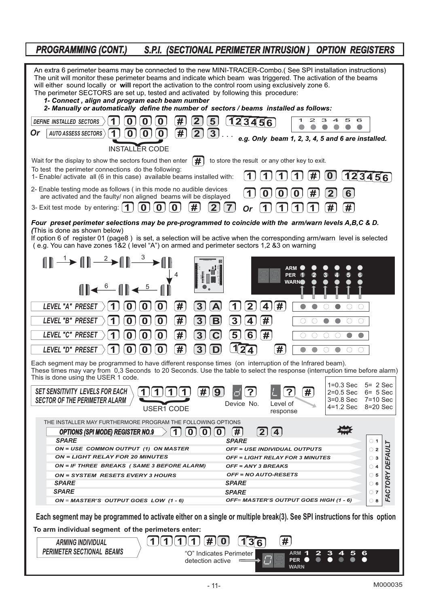## *PROGRAMMING (CONT.) S.P.I. (SECTIONAL PERIMETER INTRUSION ) OPTION REGISTERS*

| An extra 6 perimeter beams may be connected to the new MINI-TRACER-Combo. (See SPI installation instructions)<br>The unit will monitor these perimeter beams and indicate which beam was triggered. The activation of the beams<br>will either sound locally or will report the activation to the control room using exclusively zone 6.<br>The perimeter SECTORS are set up, tested and activated by following this procedure:<br>1- Connect, align and program each beam number |                                                                                                                                                                                             |  |  |
|-----------------------------------------------------------------------------------------------------------------------------------------------------------------------------------------------------------------------------------------------------------------------------------------------------------------------------------------------------------------------------------------------------------------------------------------------------------------------------------|---------------------------------------------------------------------------------------------------------------------------------------------------------------------------------------------|--|--|
| 2- Manually or automatically define the number of sectors / beams installed as follows:                                                                                                                                                                                                                                                                                                                                                                                           |                                                                                                                                                                                             |  |  |
| <b>DEFINE INSTALLED SECTORS</b><br>O<br>o<br>#<br>5.<br>Or<br><b>AUTO ASSESS SECTORS</b><br>#<br>3                                                                                                                                                                                                                                                                                                                                                                                | $\overline{z}$<br>з<br>1<br>$\overline{\mathbf{A}}$<br>5<br>6<br>23456<br>1<br>$\bigcirc$<br>$\bullet$<br>$\bullet$<br>$\bigcirc$<br>●<br>e.g. Only beam 1, 2, 3, 4, 5 and 6 are installed. |  |  |
| <b>INSTALLER CODE</b>                                                                                                                                                                                                                                                                                                                                                                                                                                                             |                                                                                                                                                                                             |  |  |
| Wait for the display to show the sectors found then enter $\ \#$                                                                                                                                                                                                                                                                                                                                                                                                                  | to store the result or any other key to exit.                                                                                                                                               |  |  |
| To test the perimeter connections do the following:<br>1- Enable/ activate all (6 in this case) available beams installed with:                                                                                                                                                                                                                                                                                                                                                   | 123456<br>#<br>$\bf{O}$                                                                                                                                                                     |  |  |
| 2- Enable testing mode as follows (in this mode no audible devices<br>are activated and the faulty/ non aligned beams will be displayed                                                                                                                                                                                                                                                                                                                                           |                                                                                                                                                                                             |  |  |
| 3- Exit test mode by entering: 1<br>$\mathbf{0}$<br>0<br>#<br>0                                                                                                                                                                                                                                                                                                                                                                                                                   |                                                                                                                                                                                             |  |  |
| Four preset perimeter selections may be pre-programmed to coincide with the arm/warn levels A,B,C & D.                                                                                                                                                                                                                                                                                                                                                                            |                                                                                                                                                                                             |  |  |
| (This is done as shown below)<br>If option 6 of register 01 (page8) is set, a selection will be active when the corresponding arm/warn level is selected<br>(e.g. You can have zones 1&2 (level "A") on armed and perimeter sectors 1,2 &3 on warning                                                                                                                                                                                                                             |                                                                                                                                                                                             |  |  |
| $\mathbb{I} \rightarrow \mathbb{I} \rightarrow \mathbb{I}$                                                                                                                                                                                                                                                                                                                                                                                                                        | <b>ARM</b><br>$\ddot{\mathbf{6}}$<br>O<br>$\overline{2}$<br>G<br>5<br><b>PER</b><br><b>WARNO</b><br>0<br>0<br>●<br>●<br>$\bullet$                                                           |  |  |
| $  \leftarrow$ $  $                                                                                                                                                                                                                                                                                                                                                                                                                                                               |                                                                                                                                                                                             |  |  |
| #<br>LEVEL "A" PRESET<br>U<br>3                                                                                                                                                                                                                                                                                                                                                                                                                                                   | $\mathbf{z}$<br>4<br>#<br>O<br>O<br>Ω<br>0<br>О<br>О                                                                                                                                        |  |  |
| LEVEL "B" PRESET<br>#<br>3                                                                                                                                                                                                                                                                                                                                                                                                                                                        | 3<br>О<br>О<br>$\bigcirc$<br>$\circ$<br>O<br>О                                                                                                                                              |  |  |
| LEVEL "C" PRESET<br>#                                                                                                                                                                                                                                                                                                                                                                                                                                                             | О<br>Ω<br>Ω<br>Ω<br>O                                                                                                                                                                       |  |  |
| LEVEL "D" PRESET<br>#<br>n                                                                                                                                                                                                                                                                                                                                                                                                                                                        | #<br>$\bigcirc$<br>O<br>O<br>O<br>O<br>O                                                                                                                                                    |  |  |
| Each segment may be programmed to have different response times (on interruption of the Infrared beam).<br>These times may vary from 0,3 Seconds to 20 Seconds. Use the table to select the response (interruption time before alarm)<br>This is done using the USER 1 code.                                                                                                                                                                                                      | $1=0.3$ Sec<br>$5 = 2$ Sec                                                                                                                                                                  |  |  |
| <b>SET SENSITIVITY LEVELS FOR EACH</b><br>9<br><b>SECTOR OF THE PERIMETER ALARM</b><br>USER1 CODE                                                                                                                                                                                                                                                                                                                                                                                 | $2=0.5$ Sec<br>$6 = 5$ Sec<br>#<br>$3=0.8$ Sec<br>7=10 Sec<br>Device No.<br>Level of<br>4=1.2 Sec<br>$8 = 20$ Sec<br>response                                                               |  |  |
| THE INSTALLER MAY FURTHERMORE PROGRAM THE FOLLOWING OPTIONS                                                                                                                                                                                                                                                                                                                                                                                                                       |                                                                                                                                                                                             |  |  |
| <b>OPTIONS (SPI MODE) REGISTER NO.9</b><br>l 1 l<br>10 I<br>0 I<br>$\mathbf{0}$                                                                                                                                                                                                                                                                                                                                                                                                   | 1# I<br>2<br>4                                                                                                                                                                              |  |  |
| <b>SPARE</b>                                                                                                                                                                                                                                                                                                                                                                                                                                                                      | <b>SPARE</b><br>$\circ$ 1                                                                                                                                                                   |  |  |
| ON = USE COMMON OUTPUT (1) ON MASTER<br><b>ON = LIGHT RELAY FOR 20 MINUTES</b>                                                                                                                                                                                                                                                                                                                                                                                                    | <b>OFF = USE INDIVIDUAL OUTPUTS</b><br>$\circ$ 2                                                                                                                                            |  |  |
|                                                                                                                                                                                                                                                                                                                                                                                                                                                                                   | <b>OFF = LIGHT RELAY FOR 3 MINUTES</b><br>$\circ$ 3                                                                                                                                         |  |  |
| ON = IF THREE BREAKS (SAME 3 BEFORE ALARM)                                                                                                                                                                                                                                                                                                                                                                                                                                        | OFF = ANY 3 BREAKS<br>$\circ$ 4                                                                                                                                                             |  |  |
| ON = SYSTEM RESETS EVERY 3 HOURS                                                                                                                                                                                                                                                                                                                                                                                                                                                  | OFF = NO AUTO-RESETS<br>$\circ$ 5                                                                                                                                                           |  |  |
| <b>SPARE</b><br><b>SPARE</b>                                                                                                                                                                                                                                                                                                                                                                                                                                                      | FACTORY DEFAULT<br><b>SPARE</b><br>$\circ$ 6<br>$\circ$ 7                                                                                                                                   |  |  |
| ON = MASTER'S OUTPUT GOES LOW (1 - 6)                                                                                                                                                                                                                                                                                                                                                                                                                                             | <b>SPARE</b><br>OFF= MASTER'S OUTPUT GOES HIGH (1 - 6)<br>$\circ$ 8                                                                                                                         |  |  |
| Each segment may be programmed to activate either on a single or multiple break(3). See SPI instructions for this option                                                                                                                                                                                                                                                                                                                                                          |                                                                                                                                                                                             |  |  |
| To arm individual segment of the perimeters enter:                                                                                                                                                                                                                                                                                                                                                                                                                                |                                                                                                                                                                                             |  |  |
| 1    1  <br>11 I<br>1# I<br>1<br><b>ARMING INDIVIDUAL</b>                                                                                                                                                                                                                                                                                                                                                                                                                         | #<br>0                                                                                                                                                                                      |  |  |
| <b>PERIMETER SECTIONAL BEAMS</b><br>"O" Indicates Perimeter<br>detection active                                                                                                                                                                                                                                                                                                                                                                                                   | <b>ARM</b><br>и<br><b>PER</b><br><b>WARN</b>                                                                                                                                                |  |  |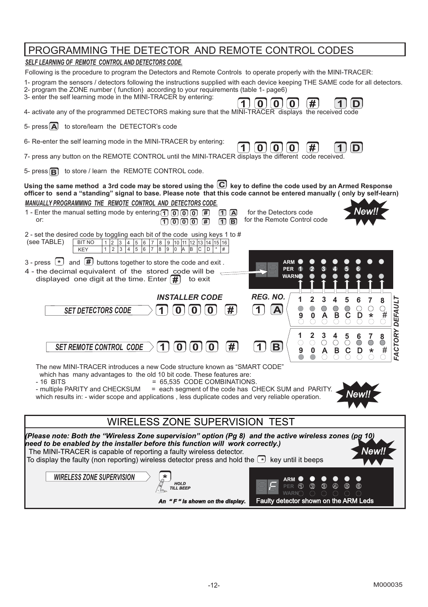| PROGRAMMING THE DETECTOR AND REMOTE CONTROL CODES                                                                                                                                                                                                                                                                                                                                                                                                                                                                                                      |
|--------------------------------------------------------------------------------------------------------------------------------------------------------------------------------------------------------------------------------------------------------------------------------------------------------------------------------------------------------------------------------------------------------------------------------------------------------------------------------------------------------------------------------------------------------|
| SELF LEARNING OF REMOTE CONTROL AND DETECTORS CODE.                                                                                                                                                                                                                                                                                                                                                                                                                                                                                                    |
| Following is the procedure to program the Detectors and Remote Controls to operate properly with the MINI-TRACER:                                                                                                                                                                                                                                                                                                                                                                                                                                      |
| 1- program the sensors / detectors following the instructions supplied with each device keeping THE SAME code for all detectors.<br>2- program the ZONE number (function) according to your requirements (table 1- page6)<br>3- enter the self learning mode in the MINI-TRACER by entering:<br>0                                                                                                                                                                                                                                                      |
| 0<br>0<br>4- activate any of the programmed DETECTORS making sure that the MINI-TRACER displays the received code                                                                                                                                                                                                                                                                                                                                                                                                                                      |
| 5- press [A] to store/learn the DETECTOR's code                                                                                                                                                                                                                                                                                                                                                                                                                                                                                                        |
| 6- Re-enter the self learning mode in the MINI-TRACER by entering:<br>D                                                                                                                                                                                                                                                                                                                                                                                                                                                                                |
| 7- press any button on the REMOTE CONTROL until the MINI-TRACER displays the different code received.                                                                                                                                                                                                                                                                                                                                                                                                                                                  |
| 5- press $\boxed{B}$ to store / learn the REMOTE CONTROL code.                                                                                                                                                                                                                                                                                                                                                                                                                                                                                         |
| Using the same method a 3rd code may be stored using the $\boxed{\mathbb{C}}$ key to define the code used by an Armed Response<br>officer to send a "standing" signal to base. Please note that this code cannot be entered manually (only by self-learn)<br><u>MANUALLY PROGRAMMING THE REMOTE CONTROL AND DETECTORS CODE.</u><br>New.<br>1 - Enter the manual setting mode by entering: $\boxed{0}$ $\boxed{0}$ $\boxed{0}$ $\boxed{0}$ $\boxed{4}$<br>for the Detectors code<br>$(1)$ $(A)$<br>for the Remote Control code<br>or:<br>ு வலை ச<br>① 国 |
| 2 - set the desired code by toggling each bit of the code using keys 1 to #<br><b>BIT NO</b><br>$1 \ 2 \ 3 \ 4 \ 5 \ 6 \ 7 \ 8 \ 9 \ 10 \ 11 \ 12 \ 13 \ 14 \ 15 \ 16$<br>(see TABLE)<br>1 2 3 4 5 6 7 8 9 0 A B C D $*$ #<br><b>KEY</b>                                                                                                                                                                                                                                                                                                               |
| 3 - press $\bullet$ and $\bullet$ buttons together to store the code and exit.<br><b>ARM</b><br><b>PFR</b><br>4 - the decimal equivalent of the stored code will be<br><b>WARN</b><br>displayed one digit at the time. Enter $\left  \frac{H}{H} \right $<br>to exit                                                                                                                                                                                                                                                                                   |
| <b>INSTALLER CODE</b><br>REG. NO.<br>2<br>3<br>4<br>5<br>1<br>6<br>7<br>8                                                                                                                                                                                                                                                                                                                                                                                                                                                                              |
| ACTORY DEFAULT<br>$\bullet$<br>$\bigcirc$<br>$\frac{1}{2}$<br>$\mathbf{B}^{\odot}$<br>О<br>$\circ$<br>$\frac{1}{2}$<br>$\overline{a}$<br>$\bf{0}$<br>#<br>1<br>0<br>0<br>А<br>SET DETECTORS CODE<br>1<br>$\bar{A}$<br>$\bar{8}$<br>$\overline{8}$<br>$\star$<br>0<br>4<br>1<br>6<br>7                                                                                                                                                                                                                                                                  |
| $\frac{2}{\circ}$<br>$\sigma^3$<br>$\overline{5}$<br>$\delta$<br>O<br>$\circ$<br>$\bigcirc$<br>О<br>1<br>$\bf{0}$<br>SET REMOTE CONTROL CODE<br>0<br>0<br>1<br>B<br>$\bar{t}$<br>9<br>0<br>$\delta$<br>В<br>c<br>D<br>*<br>Ō<br>Ō<br>$\bigcirc$<br>$\bigcirc$<br>$\bigcirc$<br>О                                                                                                                                                                                                                                                                       |
| The new MINI-TRACER introduces a new Code structure known as "SMART CODE"<br>which has many advantages to the old 10 bit code. These features are:<br>- 16 BITS<br>= 65,535 CODE COMBINATIONS.<br>= each segment of the code has CHECK SUM and PARITY.<br>- multiple PARITY and CHECKSUM<br>New!<br>which results in: - wider scope and applications, less duplicate codes and very reliable operation.                                                                                                                                                |
| WIRELESS ZONE SUPERVISION TEST                                                                                                                                                                                                                                                                                                                                                                                                                                                                                                                         |
| (Please note: Both the "Wireless Zone supervision" option (Pg 8)  and the active wireless zones (pg 10)<br>need to be enabled by the installer before this function will work correctly.)<br>New!!<br>The MINI-TRACER is capable of reporting a faulty wireless detector.<br>To display the faulty (non reporting) wireless detector press and hold the $\lceil \cdot \rceil$ key until it beeps                                                                                                                                                       |
| <b>WIRELESS ZONE SUPERVISION</b><br><b>ARM</b><br>HOLD<br>1 Q<br>39 OD<br>6<br>ை<br>warno o o o o o<br>Faulty detector shown on the ARM Leds                                                                                                                                                                                                                                                                                                                                                                                                           |
| "F " is shown on the display.<br>An                                                                                                                                                                                                                                                                                                                                                                                                                                                                                                                    |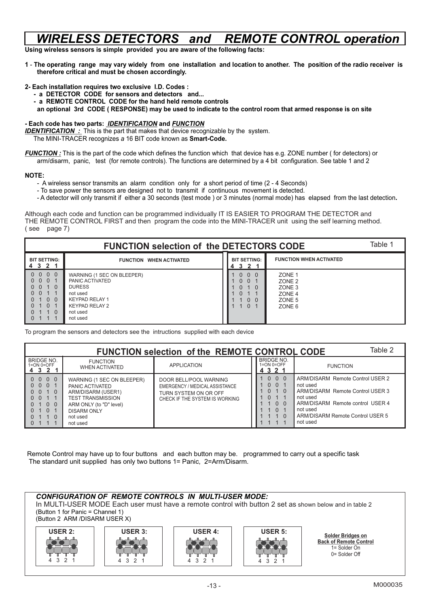## *WIRELESS DETECTORS and REMOTE CONTROL operation*

**Using wireless sensors is simple provided you are aware of the following facts:**

**1** - **The operating range may vary widely from one installation and location to another. The position of the radio receiver is therefore critical and must be chosen accordingly.**

#### **2- Each installation requires two exclusive I.D. Codes :**

- **a DETECTOR CODE for sensors and detectors and...**
- **a REMOTE CONTROL CODE for the hand held remote controls**
- **an optional 3rd CODE ( RESPONSE) may be used to indicate to the control room that armed response is on site**

#### **- Each code has two parts:** *IDENTIFICATION* **and** *FUNCTION*

**IDENTIFICATION** : This is the part that makes that device recognizable by the system.

The MINI-TRACER recognizes *a* 16 BIT code known as **Smart-Code.**

*FUNCTION :* This is the part of the code which defines the function which that device has e.g. ZONE number ( for detectors) or  $\overline{am/di}$  panic, test (for remote controls). The functions are determined by a 4 bit configuration. See table 1 and 2

#### **NOTE:**

- A wireless sensor transmits an alarm condition only for a short period of time (2 4 Seconds)
- To save power the sensors are designed not to transmit if continuous movement is detected.
- A detector will only transmit if either a 30 seconds (test mode ) or 3 minutes (normal mode) has elapsed from the last detection**.**

Although each code and function can be programmed individually IT IS EASIER TO PROGRAM THE DETECTOR and THE REMOTE CONTROL FIRST and then program the code into the MINI-TRACER unit using the self learning method. ( see page 7)

| Table 1<br><b>FUNCTION selection of the DETECTORS CODE</b>                                                                                                                      |                                                                                                                                        |                                                                                                                            |                                                                                           |  |
|---------------------------------------------------------------------------------------------------------------------------------------------------------------------------------|----------------------------------------------------------------------------------------------------------------------------------------|----------------------------------------------------------------------------------------------------------------------------|-------------------------------------------------------------------------------------------|--|
| <b>BIT SETTING:</b><br>4321                                                                                                                                                     | <b>FUNCTION WHEN ACTIVATED</b>                                                                                                         | <b>BIT SETTING:</b><br>4 3 2 1                                                                                             | <b>FUNCTION WHEN ACTIVATED</b>                                                            |  |
| 0 <sub>0</sub><br>0 <sub>0</sub><br>0 <sub>0</sub><br>0 <sub>1</sub><br>0 <sub>0</sub><br>$1\quad$ 0<br>0 <sub>0</sub><br>$1\quad1$<br>0 <sub>0</sub><br>$\Omega$<br>$1\quad$ 0 | WARNING (1 SEC ON BLEEPER)<br>PANIC ACTIVATED<br><b>DURESS</b><br>not used<br>KEYPAD RELAY 1<br>KEYPAD RELAY 2<br>not used<br>not used | 0 <sub>0</sub><br>$\Omega$<br>$\Omega$<br>$\Omega$<br>$\Omega$<br>$\Omega$<br>$\Omega$<br>$\Omega$<br>$\Omega$<br>$\Omega$ | ZONE <sub>1</sub><br>ZONE <sub>2</sub><br>ZONE <sub>3</sub><br>ZONE 4<br>ZONE 5<br>ZONE 6 |  |

To program the sensors and detectors see the intructions supplied with each device

| Table 2<br><b>FUNCTION selection of the REMOTE CONTROL CODE</b>                                                                                           |                                                                                                                                                                          |                                                                                                                     |                                                                                                                          |                                                                                                                                                                                              |
|-----------------------------------------------------------------------------------------------------------------------------------------------------------|--------------------------------------------------------------------------------------------------------------------------------------------------------------------------|---------------------------------------------------------------------------------------------------------------------|--------------------------------------------------------------------------------------------------------------------------|----------------------------------------------------------------------------------------------------------------------------------------------------------------------------------------------|
| <b>BRIDGE NO.</b><br>$1 = ON$ $0 = OFF$<br>4 3 2 1                                                                                                        | <b>FUNCTION</b><br><b>WHEN ACTIVATED</b>                                                                                                                                 | <b>APPLICATION</b>                                                                                                  | <b>BRIDGE NO.</b><br>$1 = ON$ $0 = OFF$<br>4 3 2 1                                                                       | <b>FUNCTION</b>                                                                                                                                                                              |
| $0\quad 0\quad 0\quad 0$<br>$0 \t0 \t0 \t1$<br>$0 \t0 \t1 \t0$<br>0 <sub>0</sub><br>0, 1, 0, 0<br>0 1 0 1<br>0 <sub>1</sub><br>1 <sub>0</sub><br>$\Omega$ | WARNING (1 SEC ON BLEEPER)<br>PANIC ACTIVATED<br>ARM/DISARM (USER1)<br><b>TEST TRANSMISSION</b><br>ARM ONLY (to "D" level)<br><b>DISARM ONLY</b><br>not used<br>not used | DOOR BELL/POOL WARNING<br>EMERGENCY / MEDICAL ASSISTANCE<br>TURN SYSTEM ON OR OFF<br>CHECK IF THE SYSTEM IS WORKING | 0 <sub>0</sub><br>$\Omega$<br>$0 \t0 \t1$<br>$\Omega$<br>$1\Omega$<br>$\Omega$<br>0 <sub>0</sub><br>$\Omega$<br>$\Omega$ | ARM/DISARM Remote Control USER 2<br>not used<br>ARM/DISARM Remote Control USER 3<br>not used<br>ARM/DISARM Remote control USER 4<br>not used<br>ARM/DISARM Remote Control USER 5<br>not used |

 Remote Control may have up to four buttons and each button may be. programmed to carry out a specific task The standard unit supplied has only two buttons 1= Panic, 2=Arm/Disarm.

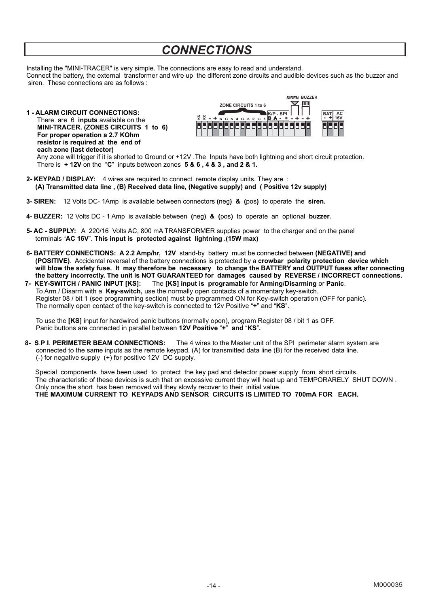## *CONNECTIONS*

**I**nstalling the "MINI-TRACER" is very simple. The connections are easy to read and understand. Connect the battery, the external transformer and wire up the different zone circuits and audible devices such as the buzzer and siren. These connections are as follows :

**1 - ALARM CIRCUIT CONNECTIONS:**  There are 6 **inputs** available on the **MINI-TRACER. (ZONES CIRCUITS 1 to 6) For proper operation a 2.7 KOhm resistor is required at the end of each zone (last detector)** 



 Any zone will trigger if it is shorted to Ground or +12V .The Inputs have both lightning and short circuit protection. There is **+ 12V** on the "**C**" inputs between zones **5 & 6 , 4 & 3 , and 2 & 1.**

- **2- KEYPAD / DISPLAY:** 4 wires are required to connect remote display units. They are : **(A) Transmitted data line , (B) Received data line, (Negative supply) and ( Positive 12v supply)**
- **3- SIREN:** 12 Volts DC- 1Amp is available between connectors **(**neg**) & (**pos**)** to operate the **siren.**
- **4- BUZZER:** 12 Volts DC 1 Amp is available between **(**neg**) & (**pos**)** to operate an optional **buzzer.**
- **5- AC SUPPLY:** A 220/16 Volts AC, 800 mA TRANSFORMER supplies power to the charger and on the panel terminals "**AC 16V**". **This input is protected against lightning .(15W max)**
- **6- BATTERY CONNECTIONS: A 2.2 Amp/hr, 12V** stand-by battery must be connected between **(NEGATIVE) and (POSITIVE)**. Accidental reversal of the battery connections is protected by a **crowbar polarity protection device which will blow the safety fuse. It may therefore be necessary to change th**e **BATTERY and OUTPUT fuses after connecting the b**a**ttery incorrectly. The unit is NOT GUARANTEED for damages caused by REVERSE / INCORRECT connections.**
- **7he [KS] input is programable for Arming/Disarming or Panic.**  To Arm / Disarm with a **Key-switch,** use the normally open contacts of a momentary key-switch. Register 08 / bit 1 (see programming section) must be programmed ON for Key-switch operation (OFF for panic). The normally open contact of the key-switch is connected to 12v Positive "**+**" and "**KS**".

 To use the **[KS]** input for hardwired panic buttons (normally open), program Register 08 / bit 1 as OFF. Panic buttons are connected in parallel between **12V Positive** "**+**" **and** "**KS**"**.** 

**8- S**.**P**.**I**. **PERIMETER BEAM CONNECTIONS:** The 4 wires to the Master unit of the SPI perimeter alarm system are connected to the same inputs as the remote keypad. (A) for transmitted data line (B) for the received data line. (-) for negative supply (+) for positive 12V DC supply.

Special components have been used to protect the key pad and detector power supply from short circuits. The characteristic of these devices is such that on excessive current they will heat up and TEMPORARELY SHUT DOWN . Only once the short has been removed will they slowly recover to their initial value. **THE MAXIMUM CURRENT TO KEYPADS AND SENSOR CIRCUITS IS LIMITED TO 700mA FOR EACH.**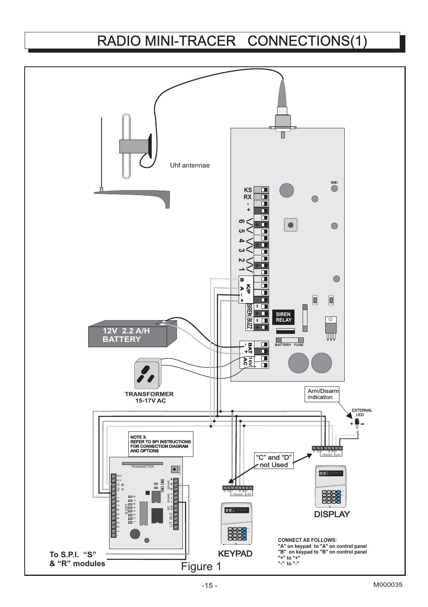## RADIO MINI-TRACER CONNECTIONS(1)

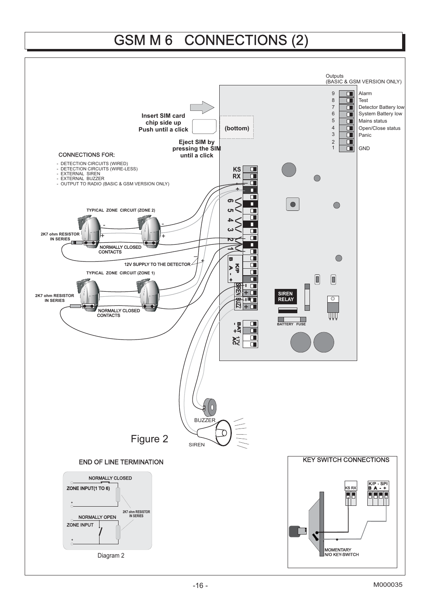## GSM M 6 CONNECTIONS (2)

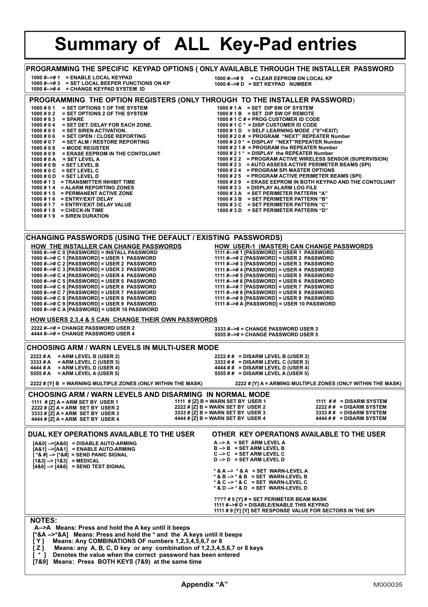# **Summary of ALL Key-Pad entries**

|                                                                                                                                                                                                                                                                                                                                                                                                                                                                                                                                                                                                                                                                                                                                                                                                                                                                                                                                                                                                                                                                                                                                                                                                                                                                                                                                 | PROGRAMMING THE SPECIFIC KEYPAD OPTIONS ( ONLY AVAILABLE THROUGH THE INSTALLER PASSWORD                                                                                                                                                                                                                                                                                                                                                                                                                             |
|---------------------------------------------------------------------------------------------------------------------------------------------------------------------------------------------------------------------------------------------------------------------------------------------------------------------------------------------------------------------------------------------------------------------------------------------------------------------------------------------------------------------------------------------------------------------------------------------------------------------------------------------------------------------------------------------------------------------------------------------------------------------------------------------------------------------------------------------------------------------------------------------------------------------------------------------------------------------------------------------------------------------------------------------------------------------------------------------------------------------------------------------------------------------------------------------------------------------------------------------------------------------------------------------------------------------------------|---------------------------------------------------------------------------------------------------------------------------------------------------------------------------------------------------------------------------------------------------------------------------------------------------------------------------------------------------------------------------------------------------------------------------------------------------------------------------------------------------------------------|
| 1000 #-->#1 = ENABLE LOCAL KEYPAD<br>1000 #-->#3 = SET LOCAL BEEPER FUNCTIONS ON KP<br>1000 #-->#4 = CHANGE KEYPAD SYSTEM ID                                                                                                                                                                                                                                                                                                                                                                                                                                                                                                                                                                                                                                                                                                                                                                                                                                                                                                                                                                                                                                                                                                                                                                                                    | 1000 #-->#9 = CLEAR EEPROM ON LOCAL KP<br>1000 #--># D = SET KEYPAD NUMBER                                                                                                                                                                                                                                                                                                                                                                                                                                          |
| PROGRAMMING THE OPTION REGISTERS (ONLY THROUGH TO THE INSTALLER PASSWORD)                                                                                                                                                                                                                                                                                                                                                                                                                                                                                                                                                                                                                                                                                                                                                                                                                                                                                                                                                                                                                                                                                                                                                                                                                                                       |                                                                                                                                                                                                                                                                                                                                                                                                                                                                                                                     |
| 1000 # 0 1 = SET OPTIONS 1 OF THE SYSTEM<br>1000 # 0 2 = SET OPTIONS 2 OF THE SYSTEM<br>$1000 \# 03 = SPARE$<br>$1000 # 04 = SET DET. DELAY FOR EACH ZONE.$<br>$1000 # 05 = SET SIREN ACTIVATION.$<br>1000 # 0 6 = SET OPEN / CLOSE REPORTING<br>1000 # 0 7 = SET ALM / RESTORE REPORTING<br>$1000 \# 0.8$ = MODE REGISTER<br>1000 # 0 9 = ERASE EEPROM IN THE CONTOLUNIT<br>$1000 # 0 A = SET LEVEL A$<br>$1000 # 0 B = SET LEVEL B$<br>$1000 # 0 C = SET LEVEL C$                                                                                                                                                                                                                                                                                                                                                                                                                                                                                                                                                                                                                                                                                                                                                                                                                                                             | 1000#1A = SET DIP SW OF SYSTEM<br>1000#1B = SET DIP SW OF REMOTE<br>1000 # 1 C # = PROG CUSTOMER ID CODE<br>1000 # 1 C * = DISP CUSTOMER ID CODE<br>$1000 # 1 D$ = SELF LEARNING MODE ("0"=EXIT)<br>1000 # 2 0 # = PROGRAM "NEXT" REPEATER Number<br>1000 # 2 0 * = DISPLAY "NEXT"REPEATER Number<br>1000 # 2 1 # = PROGRAM the REPEATER Number<br>1000 # 2 1 * = DISPLAY the REPEATER Number<br>1000 # 2 2 = PROGRAM ACTIVE WIRELESS SENSOR (SUPERVISION)<br>1000 # 2 3 = AUTO ASSESS ACTIVE PERIMETER BEAMS (SPI) |
| $1000 \text{ # } 0 \text{ D} = \text{SET}$ LEVEL D<br>1000 # 1 3 = TRANSMITTER INHIBIT TIME<br>1000 # 1 4 = ALARM REPORTING ZONES<br>1000 # 1 5 = PERMANENT ACTIVE ZONE                                                                                                                                                                                                                                                                                                                                                                                                                                                                                                                                                                                                                                                                                                                                                                                                                                                                                                                                                                                                                                                                                                                                                         | 1000 # 2 4 = PROGRAM SPI MASTER OPTIONS<br>1000 # 2 5 = PROGRAM ACTIVE PERIMETER BEAMS (SPI)<br>1000 # 2 9 = ERASE EEPROM IN BOTH KEYPAD AND THE CONTOLUNIT<br>1000 # 3 3 = DISPLAY ALARM LOG FILE<br>1000 #3 A = SET PERIMETER PATTERN "A"                                                                                                                                                                                                                                                                         |
| 1000 # 1 6 = ENTRY/EXIT DELAY<br>1000 # 1 7 = ENTRY/EXIT DELAY VALUE<br>1000 # 1 8 = CHECK-IN TIME<br>$1000 # 19 = SIREN DURATION$                                                                                                                                                                                                                                                                                                                                                                                                                                                                                                                                                                                                                                                                                                                                                                                                                                                                                                                                                                                                                                                                                                                                                                                              | 1000 # 3 B = SET PERIMETER PATTERN "B"<br>1000 # 3 C = SET PERIMETER PATTERN "C"<br>1000 # 3 D = SET PERIMETER PATTERN "D"                                                                                                                                                                                                                                                                                                                                                                                          |
| <b>CHANGING PASSWORDS (USING THE DEFAULT / EXISTING PASSWORDS)</b>                                                                                                                                                                                                                                                                                                                                                                                                                                                                                                                                                                                                                                                                                                                                                                                                                                                                                                                                                                                                                                                                                                                                                                                                                                                              |                                                                                                                                                                                                                                                                                                                                                                                                                                                                                                                     |
| <b>HOW THE INSTALLER CAN CHANGE PASSWORDS</b><br>1000 #--># C 0 [PASSWORD] = INSTALL PASSWORD<br>1000 #--># C 1 [PASSWORD] = USER 1 PASSWORD<br>1000 #--># C 2 [PASSWORD] = USER 2 PASSWORD<br>1000 #--># C 3 [PASSWORD] = USER 3 PASSWORD<br>1000 #--># C 4 [PASSWORD] = USER 4 PASSWORD<br>1000 #--># C 5 [PASSWORD] = USER 5 PASSWORD<br>1000 #--># C 6 [PASSWORD] = USER 6 PASSWORD<br>1000 #--># C 7 [PASSWORD] = USER 7 PASSWORD<br>1000 #--># C 8 [PASSWORD] = USER 8 PASSWORD<br>1000 #--># C 9 [PASSWORD] = USER 9 PASSWORD<br>1000 #--># C A [PASSWORD] = USER 10 PASSWORD                                                                                                                                                                                                                                                                                                                                                                                                                                                                                                                                                                                                                                                                                                                                            | <b>HOW USER-1 (MASTER) CAN CHANGE PASSWORDS</b><br>1111 #--># 1 [PASSWORD] = USER 1 PASSWORD<br>1111 #--># 2 [PASSWORD] = USER 2 PASSWORD<br>1111 #--># 3 [PASSWORD] = USER 3 PASSWORD<br>1111 #--># 4 [PASSWORD] = USER 4 PASSWORD<br>1111 #--># 5 [PASSWORD] = USER 5 PASSWORD<br>1111 #--># 6 [PASSWORD] = USER 6 PASSWORD<br>1111 #--># 7 [PASSWORD] = USER 7 PASSWORD<br>1111 #--># 8 [PASSWORD] = USER 8 PASSWORD<br>1111 #--># 9 [PASSWORD] = USER 9 PASSWORD<br>1111 #--># A [PASSWORD] = USER 10 PASSWORD  |
| <b>HOW USERS 2,3,4 &amp; 5 CAN CHANGE THEIR OWN PASSWORDS</b>                                                                                                                                                                                                                                                                                                                                                                                                                                                                                                                                                                                                                                                                                                                                                                                                                                                                                                                                                                                                                                                                                                                                                                                                                                                                   |                                                                                                                                                                                                                                                                                                                                                                                                                                                                                                                     |
| 2222 #--># = CHANGE PASSWORD USER 2<br>4444 #--># = CHANGE PASSWORD USER 4                                                                                                                                                                                                                                                                                                                                                                                                                                                                                                                                                                                                                                                                                                                                                                                                                                                                                                                                                                                                                                                                                                                                                                                                                                                      | 3333 #--># = CHANGE PASSWORD USER 3<br>5555 #--># = CHANGE PASSWORD USER 5                                                                                                                                                                                                                                                                                                                                                                                                                                          |
| CHOOSING ARM / WARN LEVELS IN MULTI-USER MODE                                                                                                                                                                                                                                                                                                                                                                                                                                                                                                                                                                                                                                                                                                                                                                                                                                                                                                                                                                                                                                                                                                                                                                                                                                                                                   |                                                                                                                                                                                                                                                                                                                                                                                                                                                                                                                     |
| $2222 # A = ARM LEVEL B (USER 2)$<br>$3333 \# A$ = ARM LEVEL C (USER 3)<br>$4444 \# A$ = ARM LEVEL D (USER 4)<br>5555#A<br>= ARM LEVEL A (USER 5)                                                                                                                                                                                                                                                                                                                                                                                                                                                                                                                                                                                                                                                                                                                                                                                                                                                                                                                                                                                                                                                                                                                                                                               | $2222$ # # = DISARM LEVEL B (USER 2)<br>3333 # # = DISARM LEVEL C (USER 3)<br>$4444 \# \#$ = DISARM LEVEL D (USER 4)<br>5555 # # = DISARM LEVEL A (USER 5)                                                                                                                                                                                                                                                                                                                                                          |
| 2222 # [Y] B = WARNING MULTIPLE ZONES (ONLY WITHIN THE MASK)                                                                                                                                                                                                                                                                                                                                                                                                                                                                                                                                                                                                                                                                                                                                                                                                                                                                                                                                                                                                                                                                                                                                                                                                                                                                    | 2222 # [Y] A = ARMING MULTIPLE ZONES (ONLY WITHIN THE MASK)                                                                                                                                                                                                                                                                                                                                                                                                                                                         |
| CHOOSING ARM / WARN LEVELS AND DISARMING IN NORMAL MODE<br>1111 # [Z] A = ARM SET BY USER 1<br>$2222 \# [Z]$ A = ARM SET BY USER 2<br>3333 # [Z] A = ARM SET BY USER 3<br>4444 # $\overline{[Z]}$ A = ARM SET BY USER 4                                                                                                                                                                                                                                                                                                                                                                                                                                                                                                                                                                                                                                                                                                                                                                                                                                                                                                                                                                                                                                                                                                         | 1111 # [Z] B = WARN SET BY USER 1<br>1111 ## = DISARM SYSTEM<br>2222 # [Z] B = WARN SET BY USER 2<br>$2222 # # = DISARM SYSTEM$<br>$3333 \# Z1B = WARN SET BY USER 3$<br>$3333 \# #$ = DISARM SYSTEM<br>4444 # [Z] B = WARN SET BY USER 4<br>$4444 \# \# = DISARM SYSTEM$                                                                                                                                                                                                                                           |
| DUAL KEY OPERATIONS AVAILABLE TO THE USER<br>[A&0] -->[A&0] = DISABLE AUTO-ARMING<br>$[AA1]$ --> $[AA1]$ = ENABLE AUTO-ARMING<br>[ *& #] --> [*&#] = SEND PANIC SIGNAL</th><th>OTHER KEY OPERATIONS AVAILABLE TO THE USER<br>A->A = SET ARM LEVEL A<br>B->B = SET ARM LEVEL B<br><math>C \rightarrow C</math> = SET ARM LEVEL <math>C</math></th></tr><tr><td><math>[183] \rightarrow [183] = \text{MEDICAL}</math><br><math>[486] \rightarrow [486] = \text{SEND TEST SIGNAL}</math></td><td><math>D \rightarrow D</math> = SET ARM LEVEL D<br>*&A--> *&A = SET WARN-LEVEL A<br>* & B --> * & B = SET WARN-LEVEL B<br>*& C --> * & C = SET WARN-LEVEL C</td></tr><tr><td></td><td>* & D --> * & D = SET WARN-LEVEL D<br>???? # 0 [Y] # = SET PERIMETER BEAM MASK<br>1111 #--># D = DISABLE/ENABLE THIS KEYPAD<br>1111 # 9 [Y] [Y] SET RESPONSE VALUE FOR SECTORS IN THE SPI</td></tr><tr><td><b>NOTES:</b></td><td></td></tr><tr><td>A-->A Means: Press and hold the A key until it beeps<br>[*&A -->*&A] Means: Press and hold the * and the A keys until it beeps<br>Means: Any COMBINATIONS OF numbers 1,2,3,4,5,6,7 or 8<br>[Y]<br>Means: any A, B, C, D key or any combination of 1,2,3,4,5,6,7 or 8 keys<br>Z1<br>Denotes the value when the correct password has been entered<br>[*]</td><td></td></tr></tbody></table> |                                                                                                                                                                                                                                                                                                                                                                                                                                                                                                                     |

 **[7&9] Means: Press BOTH KEYS (7&9) at the same time**